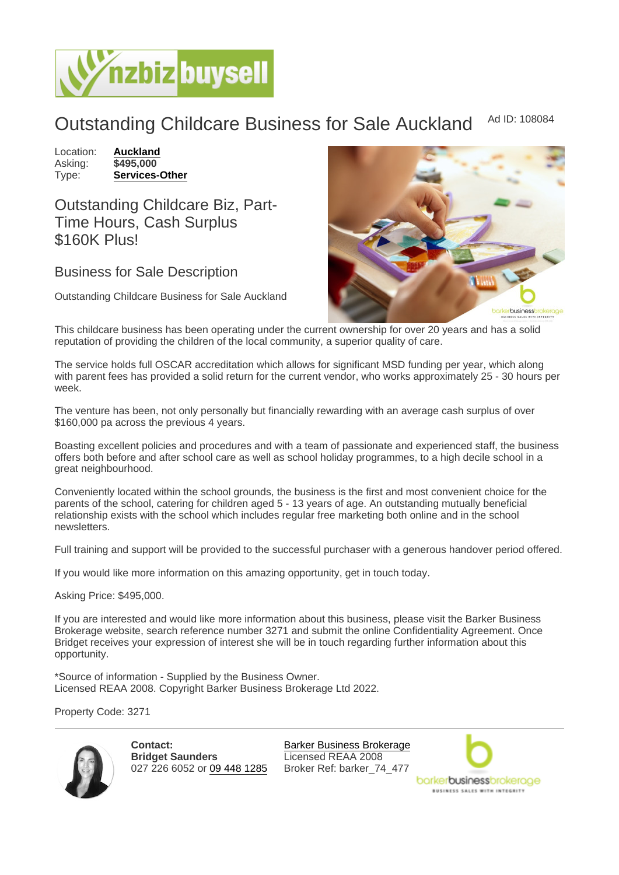## Outstanding Childcare Business for Sale Auckland Ad ID: 108084

Location: [Auckland](https://www.nzbizbuysell.co.nz/businesses-for-sale/location/Auckland) Asking: \$495,000<br>Type: Services-[Services-Other](https://www.nzbizbuysell.co.nz/businesses-for-sale/Services/New-Zealand)

Outstanding Childcare Biz, Part-Time Hours, Cash Surplus \$160K Plus!

## Business for Sale Description

Outstanding Childcare Business for Sale Auckland

This childcare business has been operating under the current ownership for over 20 years and has a solid reputation of providing the children of the local community, a superior quality of care.

The service holds full OSCAR accreditation which allows for significant MSD funding per year, which along with parent fees has provided a solid return for the current vendor, who works approximately 25 - 30 hours per week.

The venture has been, not only personally but financially rewarding with an average cash surplus of over \$160,000 pa across the previous 4 years.

Boasting excellent policies and procedures and with a team of passionate and experienced staff, the business offers both before and after school care as well as school holiday programmes, to a high decile school in a great neighbourhood.

Conveniently located within the school grounds, the business is the first and most convenient choice for the parents of the school, catering for children aged 5 - 13 years of age. An outstanding mutually beneficial relationship exists with the school which includes regular free marketing both online and in the school newsletters.

Full training and support will be provided to the successful purchaser with a generous handover period offered.

If you would like more information on this amazing opportunity, get in touch today.

Asking Price: \$495,000.

If you are interested and would like more information about this business, please visit the Barker Business Brokerage website, search reference number 3271 and submit the online Confidentiality Agreement. Once Bridget receives your expression of interest she will be in touch regarding further information about this opportunity.

\*Source of information - Supplied by the Business Owner. Licensed REAA 2008. Copyright Barker Business Brokerage Ltd 2022.

Property Code: 3271

Contact: Bridget Saunders 027 226 6052 or [09 448 1285](tel:09 448 1285)

[Barker Business Brokerage](https://www.nzbizbuysell.co.nz/business-brokers/96/barker-business-brokerage/brokerage-listings) Licensed REAA 2008 Broker Ref: barker\_74\_477